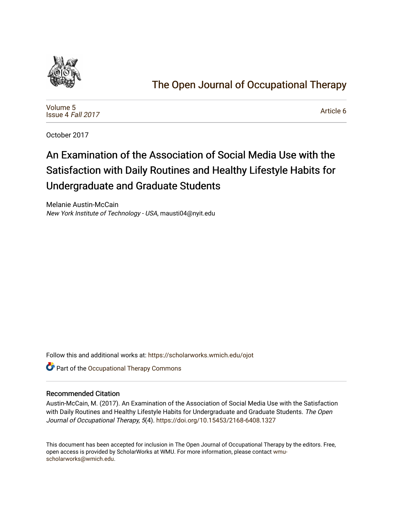

# [The Open Journal of Occupational Therapy](https://scholarworks.wmich.edu/ojot)

[Volume 5](https://scholarworks.wmich.edu/ojot/vol5) [Issue 4](https://scholarworks.wmich.edu/ojot/vol5/iss4) Fall 2017

[Article 6](https://scholarworks.wmich.edu/ojot/vol5/iss4/6) 

October 2017

# An Examination of the Association of Social Media Use with the Satisfaction with Daily Routines and Healthy Lifestyle Habits for Undergraduate and Graduate Students

Melanie Austin-McCain New York Institute of Technology - USA, mausti04@nyit.edu

Follow this and additional works at: [https://scholarworks.wmich.edu/ojot](https://scholarworks.wmich.edu/ojot?utm_source=scholarworks.wmich.edu%2Fojot%2Fvol5%2Fiss4%2F6&utm_medium=PDF&utm_campaign=PDFCoverPages)

**C** Part of the Occupational Therapy Commons

#### Recommended Citation

Austin-McCain, M. (2017). An Examination of the Association of Social Media Use with the Satisfaction with Daily Routines and Healthy Lifestyle Habits for Undergraduate and Graduate Students. The Open Journal of Occupational Therapy, 5(4). <https://doi.org/10.15453/2168-6408.1327>

This document has been accepted for inclusion in The Open Journal of Occupational Therapy by the editors. Free, open access is provided by ScholarWorks at WMU. For more information, please contact [wmu](mailto:wmu-scholarworks@wmich.edu)[scholarworks@wmich.edu.](mailto:wmu-scholarworks@wmich.edu)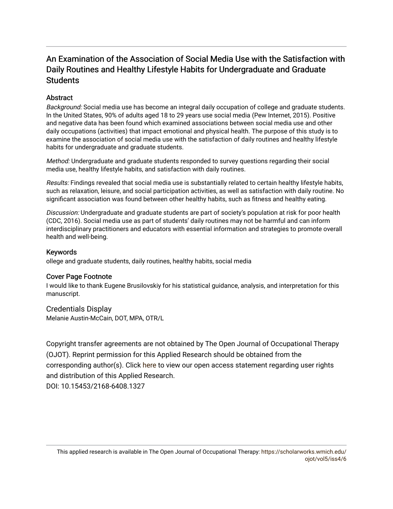## An Examination of the Association of Social Media Use with the Satisfaction with Daily Routines and Healthy Lifestyle Habits for Undergraduate and Graduate **Students**

## Abstract

Background: Social media use has become an integral daily occupation of college and graduate students. In the United States, 90% of adults aged 18 to 29 years use social media (Pew Internet, 2015). Positive and negative data has been found which examined associations between social media use and other daily occupations (activities) that impact emotional and physical health. The purpose of this study is to examine the association of social media use with the satisfaction of daily routines and healthy lifestyle habits for undergraduate and graduate students.

Method: Undergraduate and graduate students responded to survey questions regarding their social media use, healthy lifestyle habits, and satisfaction with daily routines.

Results: Findings revealed that social media use is substantially related to certain healthy lifestyle habits, such as relaxation, leisure, and social participation activities, as well as satisfaction with daily routine. No significant association was found between other healthy habits, such as fitness and healthy eating.

Discussion: Undergraduate and graduate students are part of society's population at risk for poor health (CDC, 2016). Social media use as part of students' daily routines may not be harmful and can inform interdisciplinary practitioners and educators with essential information and strategies to promote overall health and well-being.

## Keywords

ollege and graduate students, daily routines, healthy habits, social media

#### Cover Page Footnote

I would like to thank Eugene Brusilovskiy for his statistical guidance, analysis, and interpretation for this manuscript.

Credentials Display Melanie Austin-McCain, DOT, MPA, OTR/L

Copyright transfer agreements are not obtained by The Open Journal of Occupational Therapy (OJOT). Reprint permission for this Applied Research should be obtained from the corresponding author(s). Click [here](https://scholarworks.wmich.edu/ojot/policies.html#rights) to view our open access statement regarding user rights and distribution of this Applied Research.

DOI: 10.15453/2168-6408.1327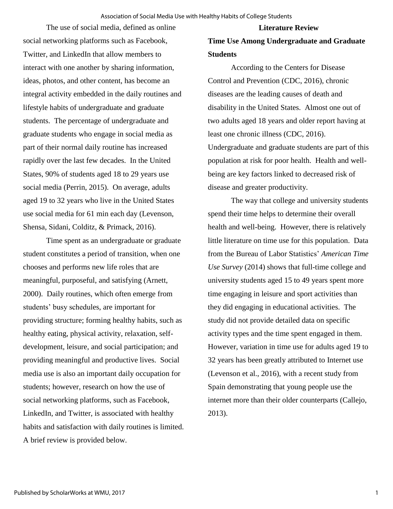#### **Literature Review**

The use of social media, defined as online social networking platforms such as Facebook, Twitter, and LinkedIn that allow members to interact with one another by sharing information, ideas, photos, and other content, has become an integral activity embedded in the daily routines and lifestyle habits of undergraduate and graduate students. The percentage of undergraduate and graduate students who engage in social media as part of their normal daily routine has increased rapidly over the last few decades. In the United States, 90% of students aged 18 to 29 years use social media (Perrin, 2015). On average, adults aged 19 to 32 years who live in the United States use social media for 61 min each day (Levenson, Shensa, Sidani, Colditz, & Primack, 2016).

Time spent as an undergraduate or graduate student constitutes a period of transition, when one chooses and performs new life roles that are meaningful, purposeful, and satisfying (Arnett, 2000). Daily routines, which often emerge from students' busy schedules, are important for providing structure; forming healthy habits, such as healthy eating, physical activity, relaxation, selfdevelopment, leisure, and social participation; and providing meaningful and productive lives. Social media use is also an important daily occupation for students; however, research on how the use of social networking platforms, such as Facebook, LinkedIn, and Twitter, is associated with healthy habits and satisfaction with daily routines is limited. A brief review is provided below.

## **Time Use Among Undergraduate and Graduate Students**

According to the Centers for Disease Control and Prevention (CDC, 2016), chronic diseases are the leading causes of death and disability in the United States. Almost one out of two adults aged 18 years and older report having at least one chronic illness (CDC, 2016). Undergraduate and graduate students are part of this population at risk for poor health. Health and wellbeing are key factors linked to decreased risk of disease and greater productivity.

The way that college and university students spend their time helps to determine their overall health and well-being. However, there is relatively little literature on time use for this population. Data from the Bureau of Labor Statistics' *American Time Use Survey* (2014) shows that full-time college and university students aged 15 to 49 years spent more time engaging in leisure and sport activities than they did engaging in educational activities. The study did not provide detailed data on specific activity types and the time spent engaged in them. However, variation in time use for adults aged 19 to 32 years has been greatly attributed to Internet use (Levenson et al., 2016), with a recent study from Spain demonstrating that young people use the internet more than their older counterparts (Callejo, 2013).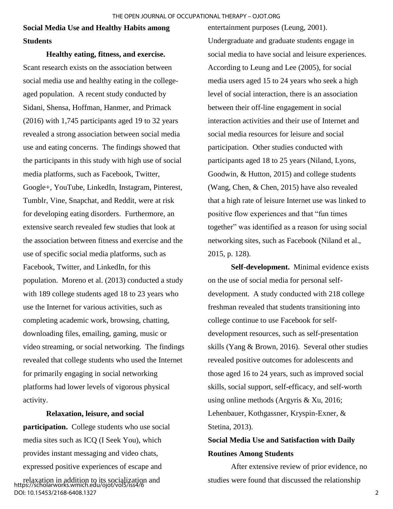**Social Media Use and Healthy Habits among Students** 

**Healthy eating, fitness, and exercise.**  Scant research exists on the association between social media use and healthy eating in the collegeaged population. A recent study conducted by Sidani, Shensa, Hoffman, Hanmer, and Primack (2016) with 1,745 participants aged 19 to 32 years revealed a strong association between social media use and eating concerns. The findings showed that the participants in this study with high use of social media platforms, such as Facebook, Twitter, Google+, YouTube, LinkedIn, Instagram, Pinterest, Tumblr, Vine, Snapchat, and Reddit, were at risk for developing eating disorders. Furthermore, an extensive search revealed few studies that look at the association between fitness and exercise and the use of specific social media platforms, such as Facebook, Twitter, and LinkedIn, for this population. Moreno et al. (2013) conducted a study with 189 college students aged 18 to 23 years who use the Internet for various activities, such as completing academic work, browsing, chatting, downloading files, emailing, gaming, music or video streaming, or social networking. The findings revealed that college students who used the Internet for primarily engaging in social networking platforms had lower levels of vigorous physical activity.

#### **Relaxation, leisure, and social**

**participation.** College students who use social media sites such as ICQ (I Seek You), which provides instant messaging and video chats, expressed positive experiences of escape and

relaxation in addition to its socialization and https://scholarworks.wmich.edu/ojot/vol5/iss4/6 DOI: 10.15453/2168-6408.1327

entertainment purposes (Leung, 2001). Undergraduate and graduate students engage in social media to have social and leisure experiences. According to Leung and Lee (2005), for social media users aged 15 to 24 years who seek a high level of social interaction, there is an association between their off-line engagement in social interaction activities and their use of Internet and social media resources for leisure and social participation. Other studies conducted with participants aged 18 to 25 years (Niland, Lyons, Goodwin, & Hutton, 2015) and college students (Wang, Chen, & Chen, 2015) have also revealed that a high rate of leisure Internet use was linked to positive flow experiences and that "fun times together" was identified as a reason for using social networking sites, such as Facebook (Niland et al., 2015, p. 128).

**Self-development.** Minimal evidence exists on the use of social media for personal selfdevelopment. A study conducted with 218 college freshman revealed that students transitioning into college continue to use Facebook for selfdevelopment resources, such as self-presentation skills (Yang & Brown, 2016). Several other studies revealed positive outcomes for adolescents and those aged 16 to 24 years, such as improved social skills, social support, self-efficacy, and self-worth using online methods (Argyris & Xu, 2016; Lehenbauer, Kothgassner, Kryspin-Exner, & Stetina, 2013).

## **Social Media Use and Satisfaction with Daily Routines Among Students**

After extensive review of prior evidence, no studies were found that discussed the relationship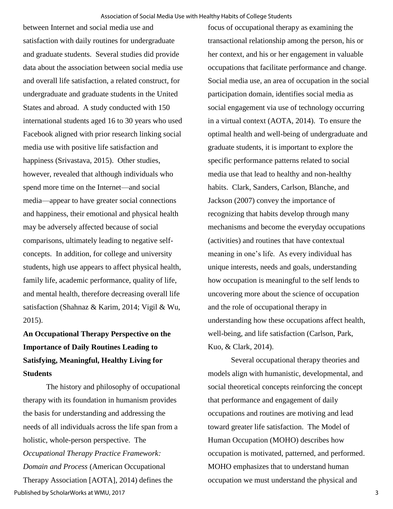between Internet and social media use and satisfaction with daily routines for undergraduate and graduate students. Several studies did provide data about the association between social media use and overall life satisfaction, a related construct, for undergraduate and graduate students in the United States and abroad. A study conducted with 150 international students aged 16 to 30 years who used Facebook aligned with prior research linking social media use with positive life satisfaction and happiness (Srivastava, 2015). Other studies, however, revealed that although individuals who spend more time on the Internet—and social media—appear to have greater social connections and happiness, their emotional and physical health may be adversely affected because of social comparisons, ultimately leading to negative selfconcepts. In addition, for college and university students, high use appears to affect physical health, family life, academic performance, quality of life, and mental health, therefore decreasing overall life satisfaction (Shahnaz & Karim, 2014; Vigil & Wu, 2015).

**An Occupational Therapy Perspective on the Importance of Daily Routines Leading to Satisfying, Meaningful, Healthy Living for Students** 

The history and philosophy of occupational therapy with its foundation in humanism provides the basis for understanding and addressing the needs of all individuals across the life span from a holistic, whole-person perspective. The *Occupational Therapy Practice Framework: Domain and Process* (American Occupational Therapy Association [AOTA], 2014) defines the Published by ScholarWorks at WMU, 2017

focus of occupational therapy as examining the transactional relationship among the person, his or her context, and his or her engagement in valuable occupations that facilitate performance and change. Social media use, an area of occupation in the social participation domain, identifies social media as social engagement via use of technology occurring in a virtual context (AOTA, 2014). To ensure the optimal health and well-being of undergraduate and graduate students, it is important to explore the specific performance patterns related to social media use that lead to healthy and non-healthy habits. Clark, Sanders, Carlson, Blanche, and Jackson (2007) convey the importance of recognizing that habits develop through many mechanisms and become the everyday occupations (activities) and routines that have contextual meaning in one's life. As every individual has unique interests, needs and goals, understanding how occupation is meaningful to the self lends to uncovering more about the science of occupation and the role of occupational therapy in understanding how these occupations affect health, well-being, and life satisfaction (Carlson, Park, Kuo, & Clark, 2014).

Several occupational therapy theories and models align with humanistic, developmental, and social theoretical concepts reinforcing the concept that performance and engagement of daily occupations and routines are motiving and lead toward greater life satisfaction. The Model of Human Occupation (MOHO) describes how occupation is motivated, patterned, and performed. MOHO emphasizes that to understand human occupation we must understand the physical and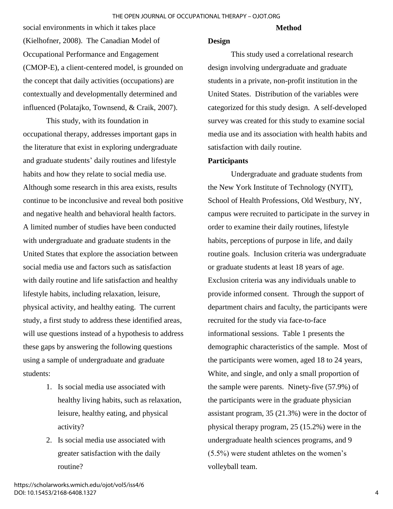#### **Method**

social environments in which it takes place (Kielhofner, 2008). The Canadian Model of Occupational Performance and Engagement (CMOP-E), a client-centered model, is grounded on the concept that daily activities (occupations) are contextually and developmentally determined and influenced (Polatajko, Townsend, & Craik, 2007).

This study, with its foundation in occupational therapy, addresses important gaps in the literature that exist in exploring undergraduate and graduate students' daily routines and lifestyle habits and how they relate to social media use. Although some research in this area exists, results continue to be inconclusive and reveal both positive and negative health and behavioral health factors. A limited number of studies have been conducted with undergraduate and graduate students in the United States that explore the association between social media use and factors such as satisfaction with daily routine and life satisfaction and healthy lifestyle habits, including relaxation, leisure, physical activity, and healthy eating. The current study, a first study to address these identified areas, will use questions instead of a hypothesis to address these gaps by answering the following questions using a sample of undergraduate and graduate students:

- 1. Is social media use associated with healthy living habits, such as relaxation, leisure, healthy eating, and physical activity?
- 2. Is social media use associated with greater satisfaction with the daily routine?

### **Design**

This study used a correlational research design involving undergraduate and graduate students in a private, non-profit institution in the United States. Distribution of the variables were categorized for this study design. A self-developed survey was created for this study to examine social media use and its association with health habits and satisfaction with daily routine.

#### **Participants**

Undergraduate and graduate students from the New York Institute of Technology (NYIT), School of Health Professions, Old Westbury, NY, campus were recruited to participate in the survey in order to examine their daily routines, lifestyle habits, perceptions of purpose in life, and daily routine goals. Inclusion criteria was undergraduate or graduate students at least 18 years of age. Exclusion criteria was any individuals unable to provide informed consent. Through the support of department chairs and faculty, the participants were recruited for the study via face-to-face informational sessions. Table 1 presents the demographic characteristics of the sample. Most of the participants were women, aged 18 to 24 years, White, and single, and only a small proportion of the sample were parents. Ninety-five (57.9%) of the participants were in the graduate physician assistant program, 35 (21.3%) were in the doctor of physical therapy program, 25 (15.2%) were in the undergraduate health sciences programs, and 9 (5.5%) were student athletes on the women's volleyball team.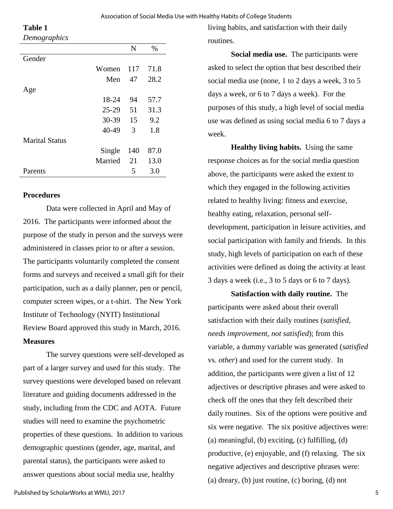#### Association of Social Media Use with Healthy Habits of College Students

**Table 1**

*Demographics*

|           | N   | $\%$ |
|-----------|-----|------|
|           |     |      |
| Women     | 117 | 71.8 |
| Men       | 47  | 28.2 |
|           |     |      |
| 18-24     | 94  | 57.7 |
| $25-29$   | 51  | 31.3 |
| $30 - 39$ | 15  | 9.2  |
| 40-49     | 3   | 1.8  |
|           |     |      |
| Single    | 140 | 87.0 |
| Married   | 21  | 13.0 |
|           | 5   | 3.0  |
|           |     |      |

### **Procedures**

Data were collected in April and May of 2016. The participants were informed about the purpose of the study in person and the surveys were administered in classes prior to or after a session. The participants voluntarily completed the consent forms and surveys and received a small gift for their participation, such as a daily planner, pen or pencil, computer screen wipes, or a t-shirt. The New York Institute of Technology (NYIT) Institutional Review Board approved this study in March, 2016. **Measures** 

The survey questions were self-developed as part of a larger survey and used for this study. The survey questions were developed based on relevant literature and guiding documents addressed in the study, including from the CDC and AOTA. Future studies will need to examine the psychometric properties of these questions. In addition to various demographic questions (gender, age, marital, and parental status), the participants were asked to answer questions about social media use, healthy

living habits, and satisfaction with their daily routines.

**Social media use.** The participants were asked to select the option that best described their social media use (none, 1 to 2 days a week, 3 to 5 days a week, or 6 to 7 days a week). For the purposes of this study, a high level of social media use was defined as using social media 6 to 7 days a week.

**Healthy living habits.** Using the same response choices as for the social media question above, the participants were asked the extent to which they engaged in the following activities related to healthy living: fitness and exercise, healthy eating, relaxation, personal selfdevelopment, participation in leisure activities, and social participation with family and friends. In this study, high levels of participation on each of these activities were defined as doing the activity at least 3 days a week (i.e., 3 to 5 days or 6 to 7 days).

**Satisfaction with daily routine.** The participants were asked about their overall satisfaction with their daily routines (*satisfied*, *needs improvement*, *not satisfied*); from this variable, a dummy variable was generated (*satisfied* vs. *other*) and used for the current study. In addition, the participants were given a list of 12 adjectives or descriptive phrases and were asked to check off the ones that they felt described their daily routines. Six of the options were positive and six were negative. The six positive adjectives were: (a) meaningful, (b) exciting, (c) fulfilling, (d) productive, (e) enjoyable, and (f) relaxing. The six negative adjectives and descriptive phrases were: (a) dreary, (b) just routine, (c) boring, (d) not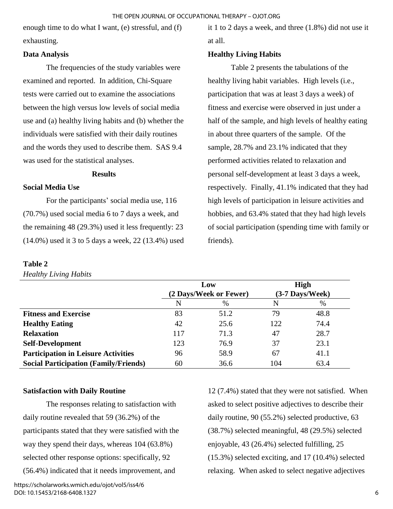enough time to do what I want, (e) stressful, and (f) exhausting.

## **Data Analysis**

The frequencies of the study variables were examined and reported. In addition, Chi-Square tests were carried out to examine the associations between the high versus low levels of social media use and (a) healthy living habits and (b) whether the individuals were satisfied with their daily routines and the words they used to describe them. SAS 9.4 was used for the statistical analyses.

## **Results**

## **Social Media Use**

For the participants' social media use, 116 (70.7%) used social media 6 to 7 days a week, and the remaining 48 (29.3%) used it less frequently: 23 (14.0%) used it 3 to 5 days a week, 22 (13.4%) used

#### **Table 2**

*Healthy Living Habits*

it 1 to 2 days a week, and three (1.8%) did not use it at all.

## **Healthy Living Habits**

Table 2 presents the tabulations of the healthy living habit variables. High levels (i.e., participation that was at least 3 days a week) of fitness and exercise were observed in just under a half of the sample, and high levels of healthy eating in about three quarters of the sample. Of the sample, 28.7% and 23.1% indicated that they performed activities related to relaxation and personal self-development at least 3 days a week, respectively. Finally, 41.1% indicated that they had high levels of participation in leisure activities and hobbies, and 63.4% stated that they had high levels of social participation (spending time with family or friends).

|                                              |     | Low<br>(2 Days/Week or Fewer) | <b>High</b><br>$(3-7$ Days/Week) |      |
|----------------------------------------------|-----|-------------------------------|----------------------------------|------|
|                                              | N   | $\%$                          | N                                | $\%$ |
| <b>Fitness and Exercise</b>                  | 83  | 51.2                          | 79                               | 48.8 |
| <b>Healthy Eating</b>                        | 42  | 25.6                          | 122                              | 74.4 |
| <b>Relaxation</b>                            | 117 | 71.3                          | 47                               | 28.7 |
| <b>Self-Development</b>                      | 123 | 76.9                          | 37                               | 23.1 |
| <b>Participation in Leisure Activities</b>   | 96  | 58.9                          | 67                               | 41.1 |
| <b>Social Participation (Family/Friends)</b> | 60  | 36.6                          | 104                              | 63.4 |

## **Satisfaction with Daily Routine**

The responses relating to satisfaction with daily routine revealed that 59 (36.2%) of the participants stated that they were satisfied with the way they spend their days, whereas 104 (63.8%) selected other response options: specifically, 92 (56.4%) indicated that it needs improvement, and

https://scholarworks.wmich.edu/ojot/vol5/iss4/6 DOI: 10.15453/2168-6408.1327

12 (7.4%) stated that they were not satisfied. When asked to select positive adjectives to describe their daily routine, 90 (55.2%) selected productive, 63 (38.7%) selected meaningful, 48 (29.5%) selected enjoyable, 43 (26.4%) selected fulfilling, 25 (15.3%) selected exciting, and 17 (10.4%) selected relaxing. When asked to select negative adjectives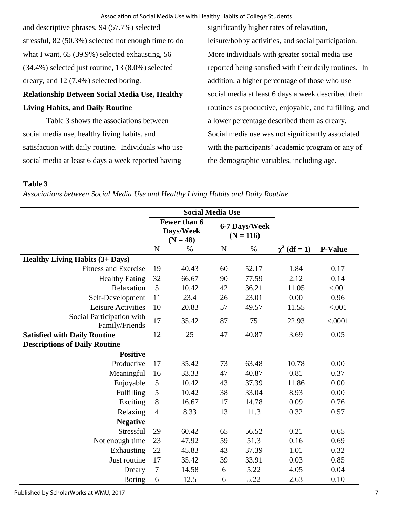and descriptive phrases, 94 (57.7%) selected stressful, 82 (50.3%) selected not enough time to do what I want, 65 (39.9%) selected exhausting, 56 (34.4%) selected just routine, 13 (8.0%) selected dreary, and 12 (7.4%) selected boring.

## **Relationship Between Social Media Use, Healthy Living Habits, and Daily Routine**

Table 3 shows the associations between social media use, healthy living habits, and satisfaction with daily routine. Individuals who use social media at least 6 days a week reported having

significantly higher rates of relaxation, leisure/hobby activities, and social participation. More individuals with greater social media use reported being satisfied with their daily routines. In addition, a higher percentage of those who use social media at least 6 days a week described their routines as productive, enjoyable, and fulfilling, and a lower percentage described them as dreary. Social media use was not significantly associated with the participants' academic program or any of the demographic variables, including age.

## **Table 3**

*Associations between Social Media Use and Healthy Living Habits and Daily Routine*

|                                             | <b>Social Media Use</b>                 |       |                              |       |                   |                |
|---------------------------------------------|-----------------------------------------|-------|------------------------------|-------|-------------------|----------------|
|                                             | Fewer than 6<br>Days/Week<br>$(N = 48)$ |       | 6-7 Days/Week<br>$(N = 116)$ |       |                   |                |
|                                             | N                                       | $\%$  | ${\bf N}$                    | $\%$  | $\chi^2$ (df = 1) | <b>P-Value</b> |
| <b>Healthy Living Habits (3+ Days)</b>      |                                         |       |                              |       |                   |                |
| <b>Fitness and Exercise</b>                 | 19                                      | 40.43 | 60                           | 52.17 | 1.84              | 0.17           |
| <b>Healthy Eating</b>                       | 32                                      | 66.67 | 90                           | 77.59 | 2.12              | 0.14           |
| Relaxation                                  | 5                                       | 10.42 | 42                           | 36.21 | 11.05             | < .001         |
| Self-Development                            | 11                                      | 23.4  | 26                           | 23.01 | 0.00              | 0.96           |
| Leisure Activities                          | 10                                      | 20.83 | 57                           | 49.57 | 11.55             | < .001         |
| Social Participation with<br>Family/Friends | 17                                      | 35.42 | 87                           | 75    | 22.93             | < .0001        |
| <b>Satisfied with Daily Routine</b>         | 12                                      | 25    | 47                           | 40.87 | 3.69              | 0.05           |
| <b>Descriptions of Daily Routine</b>        |                                         |       |                              |       |                   |                |
| <b>Positive</b>                             |                                         |       |                              |       |                   |                |
| Productive                                  | 17                                      | 35.42 | 73                           | 63.48 | 10.78             | 0.00           |
| Meaningful                                  | 16                                      | 33.33 | 47                           | 40.87 | 0.81              | 0.37           |
| Enjoyable                                   | 5                                       | 10.42 | 43                           | 37.39 | 11.86             | 0.00           |
| Fulfilling                                  | $\mathfrak s$                           | 10.42 | 38                           | 33.04 | 8.93              | 0.00           |
| Exciting                                    | $8\,$                                   | 16.67 | 17                           | 14.78 | 0.09              | 0.76           |
| Relaxing                                    | $\overline{4}$                          | 8.33  | 13                           | 11.3  | 0.32              | 0.57           |
| <b>Negative</b>                             |                                         |       |                              |       |                   |                |
| Stressful                                   | 29                                      | 60.42 | 65                           | 56.52 | 0.21              | 0.65           |
| Not enough time                             | 23                                      | 47.92 | 59                           | 51.3  | 0.16              | 0.69           |
| Exhausting                                  | 22                                      | 45.83 | 43                           | 37.39 | 1.01              | 0.32           |
| Just routine                                | 17                                      | 35.42 | 39                           | 33.91 | 0.03              | 0.85           |
| Dreary                                      | $\tau$                                  | 14.58 | 6                            | 5.22  | 4.05              | 0.04           |
| Boring                                      | 6                                       | 12.5  | 6                            | 5.22  | 2.63              | 0.10           |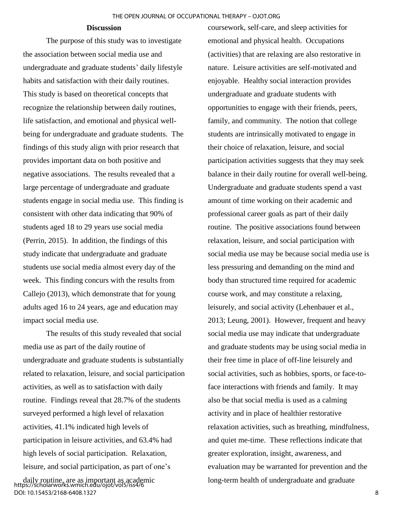#### **Discussion**

The purpose of this study was to investigate the association between social media use and undergraduate and graduate students' daily lifestyle habits and satisfaction with their daily routines. This study is based on theoretical concepts that recognize the relationship between daily routines, life satisfaction, and emotional and physical wellbeing for undergraduate and graduate students. The findings of this study align with prior research that provides important data on both positive and negative associations. The results revealed that a large percentage of undergraduate and graduate students engage in social media use. This finding is consistent with other data indicating that 90% of students aged 18 to 29 years use social media (Perrin, 2015). In addition, the findings of this study indicate that undergraduate and graduate students use social media almost every day of the week. This finding concurs with the results from Callejo (2013), which demonstrate that for young adults aged 16 to 24 years, age and education may impact social media use.

The results of this study revealed that social media use as part of the daily routine of undergraduate and graduate students is substantially related to relaxation, leisure, and social participation activities, as well as to satisfaction with daily routine. Findings reveal that 28.7% of the students surveyed performed a high level of relaxation activities, 41.1% indicated high levels of participation in leisure activities, and 63.4% had high levels of social participation. Relaxation, leisure, and social participation, as part of one's

coursework, self-care, and sleep activities for emotional and physical health. Occupations (activities) that are relaxing are also restorative in nature. Leisure activities are self-motivated and enjoyable. Healthy social interaction provides undergraduate and graduate students with opportunities to engage with their friends, peers, family, and community. The notion that college students are intrinsically motivated to engage in their choice of relaxation, leisure, and social participation activities suggests that they may seek balance in their daily routine for overall well-being. Undergraduate and graduate students spend a vast amount of time working on their academic and professional career goals as part of their daily routine. The positive associations found between relaxation, leisure, and social participation with social media use may be because social media use is less pressuring and demanding on the mind and body than structured time required for academic course work, and may constitute a relaxing, leisurely, and social activity (Lehenbauer et al., 2013; Leung, 2001). However, frequent and heavy social media use may indicate that undergraduate and graduate students may be using social media in their free time in place of off-line leisurely and social activities, such as hobbies, sports, or face-toface interactions with friends and family. It may also be that social media is used as a calming activity and in place of healthier restorative relaxation activities, such as breathing, mindfulness, and quiet me-time. These reflections indicate that greater exploration, insight, awareness, and evaluation may be warranted for prevention and the long-term health of undergraduate and graduate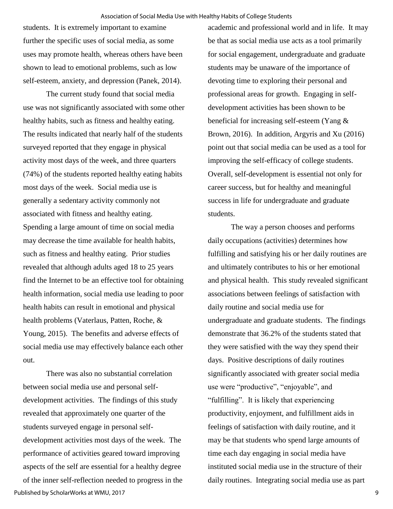students. It is extremely important to examine further the specific uses of social media, as some uses may promote health, whereas others have been shown to lead to emotional problems, such as low self-esteem, anxiety, and depression (Panek, 2014).

The current study found that social media use was not significantly associated with some other healthy habits, such as fitness and healthy eating. The results indicated that nearly half of the students surveyed reported that they engage in physical activity most days of the week, and three quarters (74%) of the students reported healthy eating habits most days of the week. Social media use is generally a sedentary activity commonly not associated with fitness and healthy eating. Spending a large amount of time on social media may decrease the time available for health habits, such as fitness and healthy eating. Prior studies revealed that although adults aged 18 to 25 years find the Internet to be an effective tool for obtaining health information, social media use leading to poor health habits can result in emotional and physical health problems (Vaterlaus, Patten, Roche, & Young, 2015). The benefits and adverse effects of social media use may effectively balance each other out.

There was also no substantial correlation between social media use and personal selfdevelopment activities. The findings of this study revealed that approximately one quarter of the students surveyed engage in personal selfdevelopment activities most days of the week. The performance of activities geared toward improving aspects of the self are essential for a healthy degree of the inner self-reflection needed to progress in the Published by ScholarWorks at WMU, 2017

academic and professional world and in life. It may be that as social media use acts as a tool primarily for social engagement, undergraduate and graduate students may be unaware of the importance of devoting time to exploring their personal and professional areas for growth. Engaging in selfdevelopment activities has been shown to be beneficial for increasing self-esteem (Yang & Brown, 2016). In addition, Argyris and Xu (2016) point out that social media can be used as a tool for improving the self-efficacy of college students. Overall, self-development is essential not only for career success, but for healthy and meaningful success in life for undergraduate and graduate students.

The way a person chooses and performs daily occupations (activities) determines how fulfilling and satisfying his or her daily routines are and ultimately contributes to his or her emotional and physical health. This study revealed significant associations between feelings of satisfaction with daily routine and social media use for undergraduate and graduate students. The findings demonstrate that 36.2% of the students stated that they were satisfied with the way they spend their days. Positive descriptions of daily routines significantly associated with greater social media use were "productive", "enjoyable", and "fulfilling". It is likely that experiencing productivity, enjoyment, and fulfillment aids in feelings of satisfaction with daily routine, and it may be that students who spend large amounts of time each day engaging in social media have instituted social media use in the structure of their daily routines. Integrating social media use as part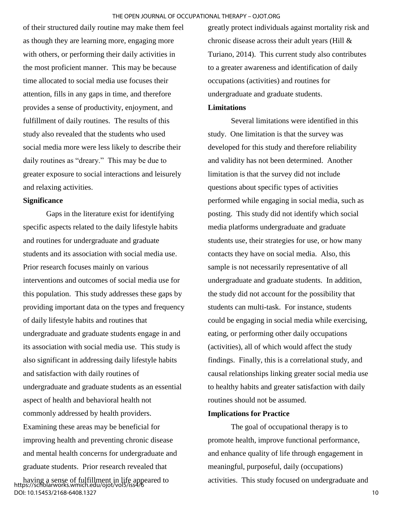of their structured daily routine may make them feel as though they are learning more, engaging more with others, or performing their daily activities in the most proficient manner. This may be because time allocated to social media use focuses their attention, fills in any gaps in time, and therefore provides a sense of productivity, enjoyment, and fulfillment of daily routines. The results of this study also revealed that the students who used social media more were less likely to describe their daily routines as "dreary." This may be due to greater exposure to social interactions and leisurely and relaxing activities.

#### **Significance**

Gaps in the literature exist for identifying specific aspects related to the daily lifestyle habits and routines for undergraduate and graduate students and its association with social media use. Prior research focuses mainly on various interventions and outcomes of social media use for this population. This study addresses these gaps by providing important data on the types and frequency of daily lifestyle habits and routines that undergraduate and graduate students engage in and its association with social media use. This study is also significant in addressing daily lifestyle habits and satisfaction with daily routines of undergraduate and graduate students as an essential aspect of health and behavioral health not commonly addressed by health providers. Examining these areas may be beneficial for improving health and preventing chronic disease and mental health concerns for undergraduate and graduate students. Prior research revealed that

having a sense of fulfillment in life appeared to https://scholarworks.wmich.edu/ojot/vol5/iss4/6 DOI: 10.15453/2168-6408.1327

greatly protect individuals against mortality risk and chronic disease across their adult years (Hill & Turiano, 2014). This current study also contributes to a greater awareness and identification of daily occupations (activities) and routines for undergraduate and graduate students.

#### **Limitations**

Several limitations were identified in this study. One limitation is that the survey was developed for this study and therefore reliability and validity has not been determined. Another limitation is that the survey did not include questions about specific types of activities performed while engaging in social media, such as posting. This study did not identify which social media platforms undergraduate and graduate students use, their strategies for use, or how many contacts they have on social media. Also, this sample is not necessarily representative of all undergraduate and graduate students. In addition, the study did not account for the possibility that students can multi-task. For instance, students could be engaging in social media while exercising, eating, or performing other daily occupations (activities), all of which would affect the study findings. Finally, this is a correlational study, and causal relationships linking greater social media use to healthy habits and greater satisfaction with daily routines should not be assumed.

## **Implications for Practice**

The goal of occupational therapy is to promote health, improve functional performance, and enhance quality of life through engagement in meaningful, purposeful, daily (occupations) activities. This study focused on undergraduate and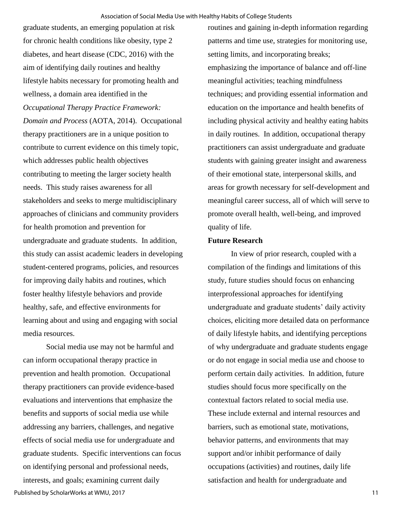graduate students, an emerging population at risk for chronic health conditions like obesity, type 2 diabetes, and heart disease (CDC, 2016) with the aim of identifying daily routines and healthy lifestyle habits necessary for promoting health and wellness, a domain area identified in the *Occupational Therapy Practice Framework: Domain and Process* (AOTA, 2014). Occupational therapy practitioners are in a unique position to contribute to current evidence on this timely topic, which addresses public health objectives contributing to meeting the larger society health needs. This study raises awareness for all stakeholders and seeks to merge multidisciplinary approaches of clinicians and community providers for health promotion and prevention for undergraduate and graduate students. In addition, this study can assist academic leaders in developing student-centered programs, policies, and resources for improving daily habits and routines, which foster healthy lifestyle behaviors and provide healthy, safe, and effective environments for learning about and using and engaging with social media resources.

Social media use may not be harmful and can inform occupational therapy practice in prevention and health promotion. Occupational therapy practitioners can provide evidence-based evaluations and interventions that emphasize the benefits and supports of social media use while addressing any barriers, challenges, and negative effects of social media use for undergraduate and graduate students. Specific interventions can focus on identifying personal and professional needs,

interests, and goals; examining current daily Published by ScholarWorks at WMU, 2017

routines and gaining in-depth information regarding patterns and time use, strategies for monitoring use, setting limits, and incorporating breaks; emphasizing the importance of balance and off-line meaningful activities; teaching mindfulness techniques; and providing essential information and education on the importance and health benefits of including physical activity and healthy eating habits in daily routines. In addition, occupational therapy practitioners can assist undergraduate and graduate students with gaining greater insight and awareness of their emotional state, interpersonal skills, and areas for growth necessary for self-development and meaningful career success, all of which will serve to promote overall health, well-being, and improved quality of life.

### **Future Research**

In view of prior research, coupled with a compilation of the findings and limitations of this study, future studies should focus on enhancing interprofessional approaches for identifying undergraduate and graduate students' daily activity choices, eliciting more detailed data on performance of daily lifestyle habits, and identifying perceptions of why undergraduate and graduate students engage or do not engage in social media use and choose to perform certain daily activities. In addition, future studies should focus more specifically on the contextual factors related to social media use. These include external and internal resources and barriers, such as emotional state, motivations, behavior patterns, and environments that may support and/or inhibit performance of daily occupations (activities) and routines, daily life satisfaction and health for undergraduate and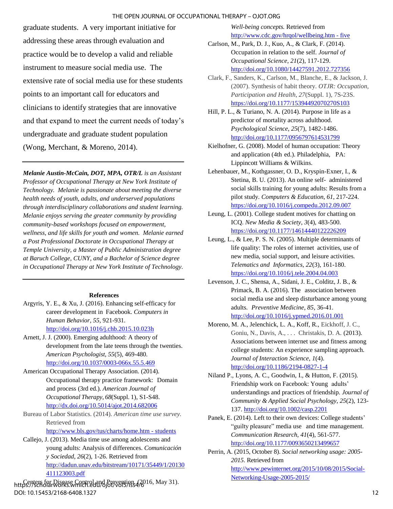#### THE OPEN JOURNAL OF OCCUPATIONAL THERAPY – OJOT.ORG

graduate students. A very important initiative for addressing these areas through evaluation and practice would be to develop a valid and reliable instrument to measure social media use. The extensive rate of social media use for these students points to an important call for educators and clinicians to identify strategies that are innovative and that expand to meet the current needs of today's undergraduate and graduate student population (Wong, Merchant, & Moreno, 2014).

*Melanie Austin-McCain, DOT, MPA, OTR/L is an Assistant Professor of Occupational Therapy at New York Institute of Technology. Melanie is passionate about meeting the diverse health needs of youth, adults, and underserved populations through interdisciplinary collaborations and student learning. Melanie enjoys serving the greater community by providing community-based workshops focused on empowerment, wellness, and life skills for youth and women. Melanie earned a Post Professional Doctorate in Occupational Therapy at Temple University, a Master of Public Administration degree at Baruch College, CUNY, and a Bachelor of Science degree in Occupational Therapy at New York Institute of Technology.*

#### **References**

- Argyris, Y. E., & Xu, J. (2016). Enhancing self-efficacy for career development in Facebook. *Computers in Human Behavior*, *55*, 921-931. [http://doi.org/10.1016/j.chb.2015.10.023h](http://doi.org/10.1016/j.chb.2015.10.023)
- Arnett, J. J. (2000). Emerging adulthood: A theory of development from the late teens through the twenties. *American Psychologist*, *55*(5), 469-480. <http://doi.org/10.1037/0003-066x.55.5.469>
- American Occupational Therapy Association. (2014). Occupational therapy practice framework: Domain and process (3rd ed.). *American Journal of Occupational Therapy*, *68*(Suppl. 1), S1-S48. <http://dx.doi.org/10.5014/ajot.2014.682006>
- Bureau of Labor Statistics. (2014). *American time use survey.* Retrieved from

[http://www.bls.gov/tus/charts/home.htm - students](http://www.bls.gov/tus/charts/home.htm#students)

Callejo, J. (2013). Media time use among adolescents and young adults: Analysis of differences. *Comunicación y Sociedad*, *26*(2), 1-26. Retrieved from [http://dadun.unav.edu/bitstream/10171/35449/1/20130](http://dadun.unav.edu/bitstream/10171/35449/1/20130411123003.pdf) [411123003.pdf](http://dadun.unav.edu/bitstream/10171/35449/1/20130411123003.pdf)

https://scholarworks.wmich.edu/ojot/vols/1554/6016, May 31). DOI: 10.15453/2168-6408.1327

*Well-being conc[epts.](http://www.cdc.gov/chronicdisease)* Retrieved from [http://www.cdc.gov/hrqol/wellbeing.htm - five](http://www.cdc.gov/hrqol/wellbeing.htm#five)

- Carlson, M., Park, D. J., Kuo, A., & Clark, F. (2014). Occupation in relation to the self. *Journal of Occupational Science*, *21*(2), 117-129. <http://doi.org/10.1080/14427591.2012.727356>
- Clark, F., Sanders, K., Carlson, M., Blanche, E., & Jackson, J. (2007). Synthesis of habit theory. *OTJR: Occupation, Participation and Health*, *27*(Suppl. 1), 7S-23S. <https://doi.org/10.1177/15394492070270S103>
- [Hill, P. L., &](http://www.ncbi.nlm.nih.gov/pubmed/?term=Hill%20PL%5BAuthor%5D&cauthor=true&cauthor_uid=24815612) [Turiano, N. A. \(2014\).](http://www.ncbi.nlm.nih.gov/pubmed/?term=Hill%20PL%5BAuthor%5D&cauthor=true&cauthor_uid=24815612) Purpose in life as a predictor of mortality across adulthood. *Psychological Science*, *25*(7), 1482-1486. <http://doi.org/10.1177/0956797614531799>
- Kielhofner, G. (2008). Model of human occupation: Theory and application (4th ed.). Philadelphia, PA: Lippincott Williams & Wilkins.
- Lehenbauer, M., Kothgassner, O. D., Kryspin-Exner, I., & Stetina, B. U. (2013). An online self- administered social skills training for young adults: Results from a pilot study. *Computers & Education*, *61*, 217-224. <https://doi.org/10.1016/j.compedu.2012.09.007>
- Leung, L. (2001). College student motives for chatting on ICQ. *New Media & Society*, *3*(4), 483-500. <https://doi.org/10.1177/14614440122226209>
- Leung, L., & Lee, P. S. N. (2005). Multiple determinants of life quality: The roles of internet activities, use of new media, social support, and leisure activities*. Telematics and Informatics*, *22*(3), 161-180. <https://doi.org/10.1016/j.tele.2004.04.003>
- Levenson, J. C., Shensa, A., Sidani, J. E., Colditz, J. B., & Primack, B. A. (2016). The association between social media use and sleep disturbance among young adults. *Preventive Medicine*, *85*, 36-41. <http://doi.org/10.1016/j.ypmed.2016.01.001>
- Moreno, M. A., Jelenchick, L. A., Koff, R., Eickhoff, J. C., Goniu, N., Davis, A., . . . Christakis, D. A. (2013). Associations between internet use and fitness among college students: An experience sampling approach. *Journal of Interaction Science*, *1*(4). <http://doi.org/10.1186/2194-0827-1-4>
- Niland P., Lyons, A. C., Goodwin, I., & Hutton, F. (2015). Friendship work on Facebook: Young adults' understandings and practices of friendship. *Journal of Community & Applied Social Psychology*, *25*(2), 123- 137.<http://doi.org/10.1002/casp.2201>
- Panek, E. (2014). Left to their own devices: College students' "guilty pleasure" media use and time management. *Communication Research*, *41*(4), 561-577. <http://doi.org/10.1177/0093650213499657>
- Perrin, A. (2015, October 8). *Social networking usage: 2005- 2015*. Retrieved from [http://www.pewinternet.org/2015/10/08/2015/Social-](http://www.pewinternet.org/2015/10/08/2015/Social-Networking-Usage-2005-2015/)[Networking-Usage-2005-2015/](http://www.pewinternet.org/2015/10/08/2015/Social-Networking-Usage-2005-2015/)